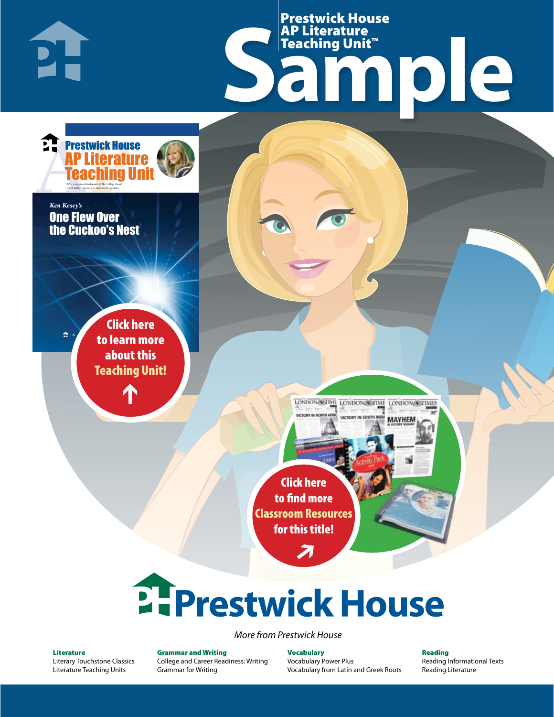Samples 1910 Prestwick House AP Literature Teaching Unit™

> LONDON SCITME LONDON SCITME LONDON SCITMES **MAYHEM**

Click here to find more [Classroom Resources](http://teaching-english.prestwickhouse.com/search#w=one%20flew%20over%20the%20cuckoos%20nest)  for this title!

 $\overline{\boldsymbol{\lambda}}$ 

# 2. Prestwick House

*More from Prestwick House*

#### Literature

**AP Literature House** 

\* \*

**Teaching Unit** 

 $\mathbb{R}^{\mathbb{R}^n}$  to learn more

[Literary Touchstone Classics](https://www.prestwickhouse.com/literary-touchstone-classics) [Literature Teaching Units](https://www.prestwickhouse.com/teaching-units)

 $\mathbf{T}$ 

Click here

about this [Teaching Unit!](https://www.prestwickhouse.com/book/id-308456/One_Flew_Over_the_Cuckoos_Nest_-_AP_Teaching_Unit)

1

Prestwick House Literat

*\*AP is a registered trademark of The College Board, which neither sponsors or endorses this product.*

One Flew Over the Cuckoo's Nest

*Ken Kesey's Ken Kesey's* 

 $\mathbf{L}$ 

Grammar and Writing [College and Career Readiness: Writing](https://www.prestwickhouse.com/college-and-career-readiness-writing) [Grammar for Writing](https://www.prestwickhouse.com/book/id-302639/Grammar_for_Writing_-_30_Books_and_Teachers_Edition)

Vocabulary [Vocabulary Power Plus](https://www.prestwickhouse.com/vocabulary-power-plus-for-college-and-career-readiness) [Vocabulary from Latin and Greek Roots](https://www.prestwickhouse.com/vocabulary-from-latin-and-greek-roots) Reading [Reading Informational Texts](https://www.prestwickhouse.com/reading-informational-texts) [Reading Literature](https://www.prestwickhouse.com/reading-literature)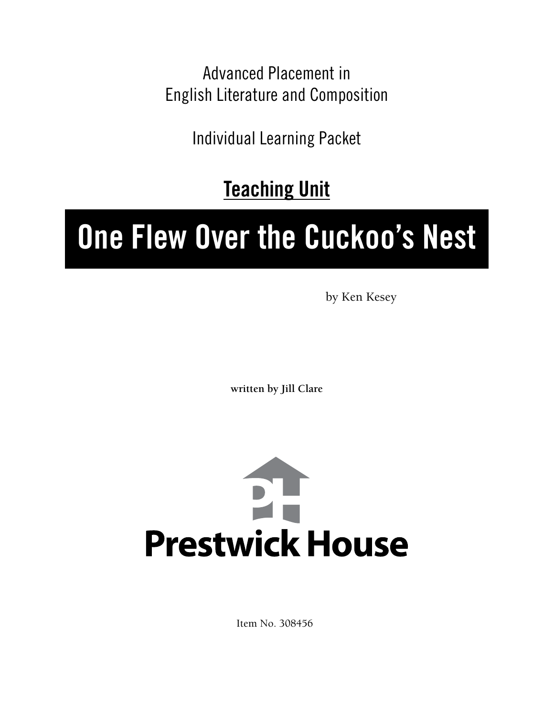Advanced Placement in English Literature and Composition

Individual Learning Packet

**Teaching Unit**

## **One Flew Over the Cuckoo's Nest**

by Ken Kesey

**written by Jill Clare**



Item No. 308456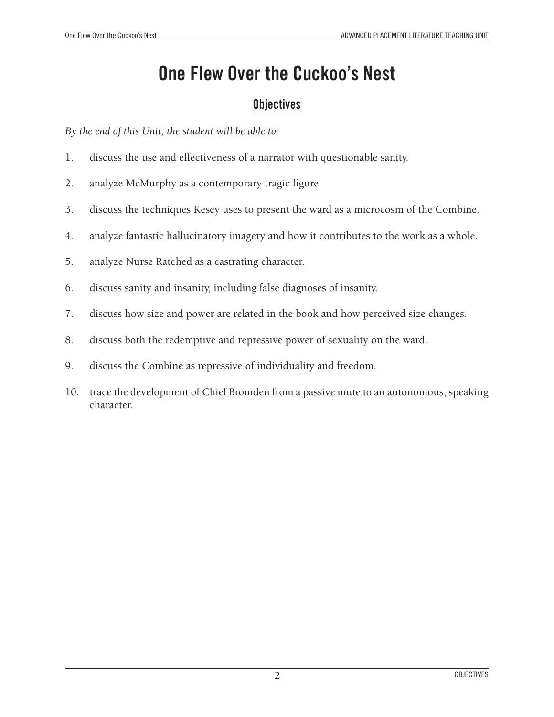## **One Flew Over the Cuckoo's Nest**

#### **Objectives**

*By the end of this Unit, the student will be able to:*

- 1. discuss the use and effectiveness of a narrator with questionable sanity.
- 2. analyze McMurphy as a contemporary tragic figure.
- 3. discuss the techniques Kesey uses to present the ward as a microcosm of the Combine.
- 4. analyze fantastic hallucinatory imagery and how it contributes to the work as a whole.
- 5. analyze Nurse Ratched as a castrating character.
- 6. discuss sanity and insanity, including false diagnoses of insanity.
- 7. discuss how size and power are related in the book and how perceived size changes.
- 8. discuss both the redemptive and repressive power of sexuality on the ward.
- 9. discuss the Combine as repressive of individuality and freedom.
- 10. trace the development of Chief Bromden from a passive mute to an autonomous, speaking character.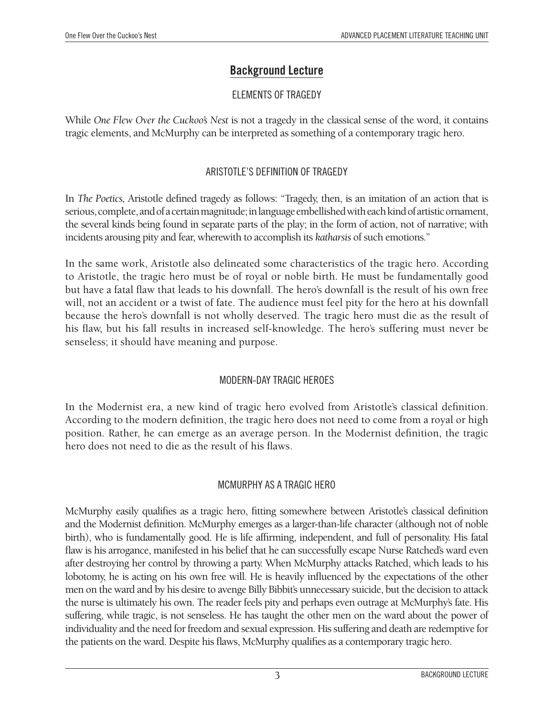#### **Background Lecture**

#### ELEMENTS OF TRAGEDY

While *One Flew Over the Cuckoo's Nest* is not a tragedy in the classical sense of the word, it contains tragic elements, and McMurphy can be interpreted as something of a contemporary tragic hero.

#### ARISTOTLE'S DEFINITION OF TRAGEDY

In *The Poetics,* Aristotle defined tragedy as follows: "Tragedy, then, is an imitation of an action that is serious, complete, and of a certain magnitude; in language embellished with each kind of artistic ornament, the several kinds being found in separate parts of the play; in the form of action, not of narrative; with incidents arousing pity and fear, wherewith to accomplish its *katharsis* of such emotions."

In the same work, Aristotle also delineated some characteristics of the tragic hero. According to Aristotle, the tragic hero must be of royal or noble birth. He must be fundamentally good but have a fatal flaw that leads to his downfall. The hero's downfall is the result of his own free will, not an accident or a twist of fate. The audience must feel pity for the hero at his downfall because the hero's downfall is not wholly deserved. The tragic hero must die as the result of his flaw, but his fall results in increased self-knowledge. The hero's suffering must never be senseless; it should have meaning and purpose.

#### MODERN-DAY TRAGIC HEROES

In the Modernist era, a new kind of tragic hero evolved from Aristotle's classical definition. According to the modern definition, the tragic hero does not need to come from a royal or high position. Rather, he can emerge as an average person. In the Modernist definition, the tragic hero does not need to die as the result of his flaws.

#### MCMURPHY AS A TRAGIC HERO

McMurphy easily qualifies as a tragic hero, fitting somewhere between Aristotle's classical definition and the Modernist definition. McMurphy emerges as a larger-than-life character (although not of noble birth), who is fundamentally good. He is life affirming, independent, and full of personality. His fatal flaw is his arrogance, manifested in his belief that he can successfully escape Nurse Ratched's ward even after destroying her control by throwing a party. When McMurphy attacks Ratched, which leads to his lobotomy, he is acting on his own free will. He is heavily influenced by the expectations of the other men on the ward and by his desire to avenge Billy Bibbit's unnecessary suicide, but the decision to attack the nurse is ultimately his own. The reader feels pity and perhaps even outrage at McMurphy's fate. His suffering, while tragic, is not senseless. He has taught the other men on the ward about the power of individuality and the need for freedom and sexual expression. His suffering and death are redemptive for the patients on the ward. Despite his flaws, McMurphy qualifies as a contemporary tragic hero.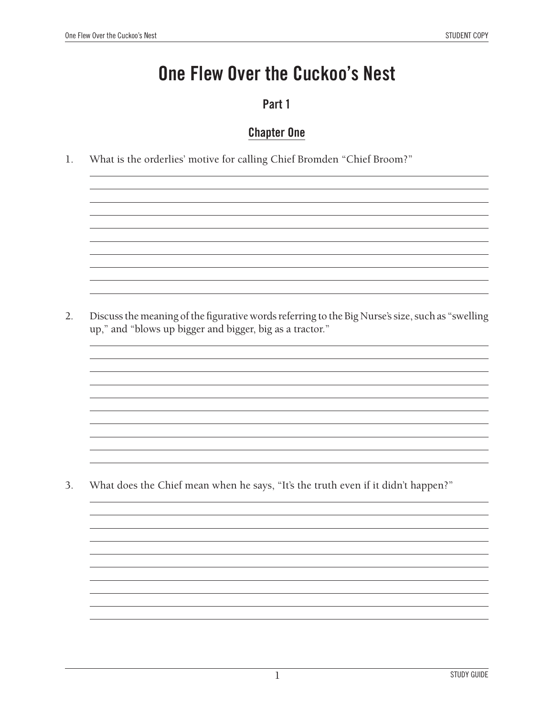### **One Flew Over the Cuckoo's Nest**

#### **Part 1**

#### **Chapter One**

1. What is the orderlies' motive for calling Chief Bromden "Chief Broom?"

2. Discuss the meaning of the figurative words referring to the Big Nurse's size, such as "swelling up," and "blows up bigger and bigger, big as a tractor."

3. What does the Chief mean when he says, "It's the truth even if it didn't happen?"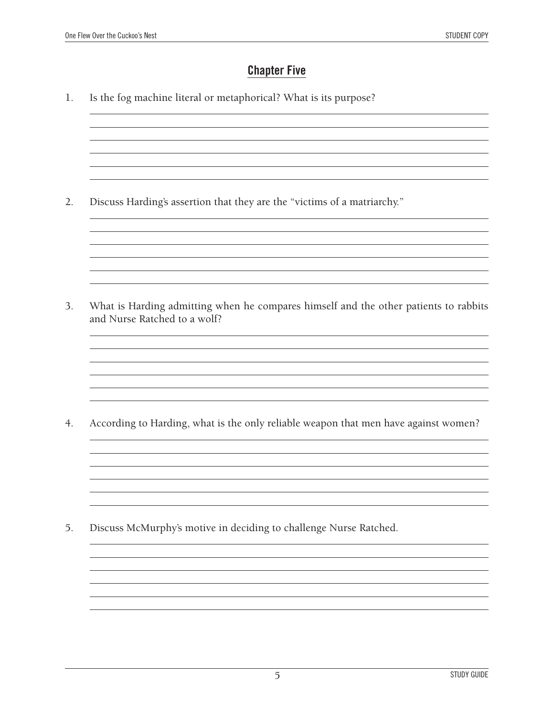#### **Chapter Five**

1. Is the fog machine literal or metaphorical? What is its purpose?

2. Discuss Harding's assertion that they are the "victims of a matriarchy."

3. What is Harding admitting when he compares himself and the other patients to rabbits and Nurse Ratched to a wolf?

<u> 1989 - Johann Stoff, deutscher Stoffen und der Stoffen und der Stoffen und der Stoffen und der Stoffen und der</u>

4. According to Harding, what is the only reliable weapon that men have against women?

5. Discuss McMurphy's motive in deciding to challenge Nurse Ratched.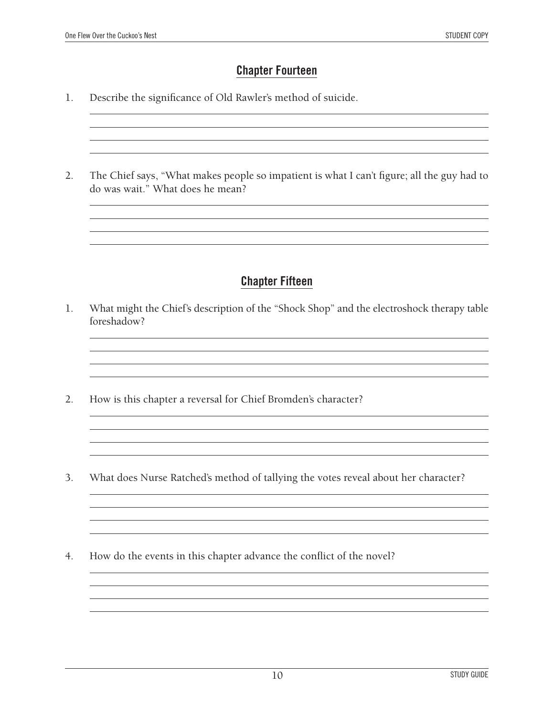#### **Chapter Fourteen**

<u> 1989 - Andrea Station Barbara, amerikan personal di sebagai personal di sebagai personal di sebagai personal </u>

- 1. Describe the significance of Old Rawler's method of suicide.
- 2. The Chief says, "What makes people so impatient is what I can't figure; all the guy had to do was wait." What does he mean?

<u> 1989 - Johann Stoff, deutscher Stoff, der Stoff, der Stoff, der Stoff, der Stoff, der Stoff, der Stoff, der S</u>

#### **Chapter Fifteen**

1. What might the Chief's description of the "Shock Shop" and the electroshock therapy table foreshadow?

<u> 1980 - Andrea Station Barbara, actor a component de la componentación de la componentación de la componentaci</u>

<u> 1989 - Johann Stoff, amerikansk politiker (d. 1989)</u>

<u> 1989 - Johann Stoff, deutscher Stoff, der Stoff, der Stoff, der Stoff, der Stoff, der Stoff, der Stoff, der S</u>

- 2. How is this chapter a reversal for Chief Bromden's character?
- 3. What does Nurse Ratched's method of tallying the votes reveal about her character?
- 4. How do the events in this chapter advance the conflict of the novel?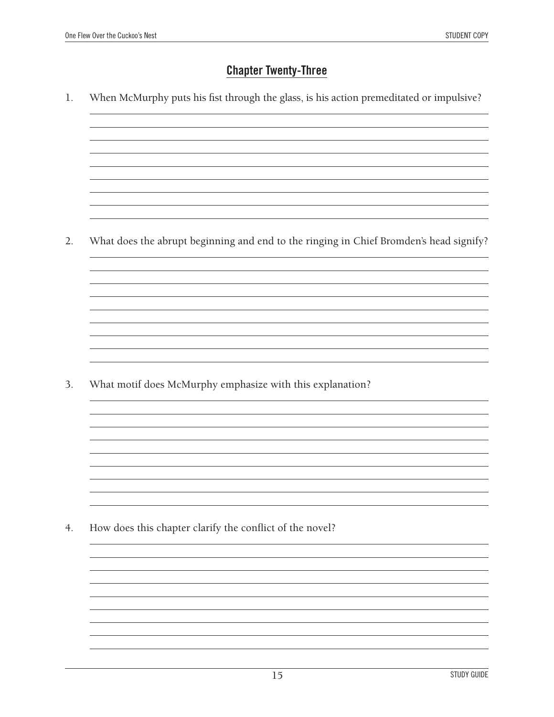#### **Chapter Twenty-Three**

1. When McMurphy puts his fist through the glass, is his action premeditated or impulsive?

2. What does the abrupt beginning and end to the ringing in Chief Bromden's head signify?

3. What motif does McMurphy emphasize with this explanation?

4. How does this chapter clarify the conflict of the novel?